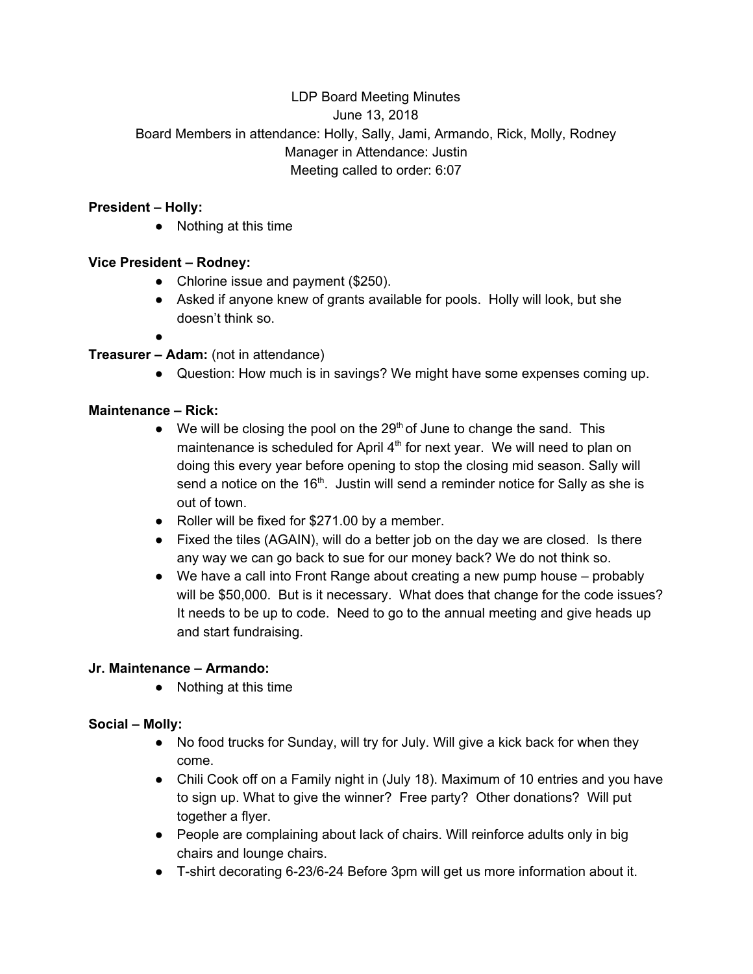# LDP Board Meeting Minutes June 13, 2018 Board Members in attendance: Holly, Sally, Jami, Armando, Rick, Molly, Rodney Manager in Attendance: Justin Meeting called to order: 6:07

### **President – Holly:**

● Nothing at this time

## **Vice President – Rodney:**

- Chlorine issue and payment (\$250).
- Asked if anyone knew of grants available for pools. Holly will look, but she doesn't think so.
- ●

# **Treasurer – Adam:** (not in attendance)

● Question: How much is in savings? We might have some expenses coming up.

#### **Maintenance – Rick:**

- $\bullet$  We will be closing the pool on the 29<sup>th</sup> of June to change the sand. This maintenance is scheduled for April 4<sup>th</sup> for next year. We will need to plan on doing this every year before opening to stop the closing mid season. Sally will send a notice on the 16<sup>th</sup>. Justin will send a reminder notice for Sally as she is out of town.
- Roller will be fixed for \$271.00 by a member.
- Fixed the tiles (AGAIN), will do a better job on the day we are closed. Is there any way we can go back to sue for our money back? We do not think so.
- $\bullet$  We have a call into Front Range about creating a new pump house probably will be \$50,000. But is it necessary. What does that change for the code issues? It needs to be up to code. Need to go to the annual meeting and give heads up and start fundraising.

## **Jr. Maintenance – Armando:**

● Nothing at this time

## **Social – Molly:**

- No food trucks for Sunday, will try for July. Will give a kick back for when they come.
- Chili Cook off on a Family night in (July 18). Maximum of 10 entries and you have to sign up. What to give the winner? Free party? Other donations? Will put together a flyer.
- People are complaining about lack of chairs. Will reinforce adults only in big chairs and lounge chairs.
- T-shirt decorating 6-23/6-24 Before 3pm will get us more information about it.